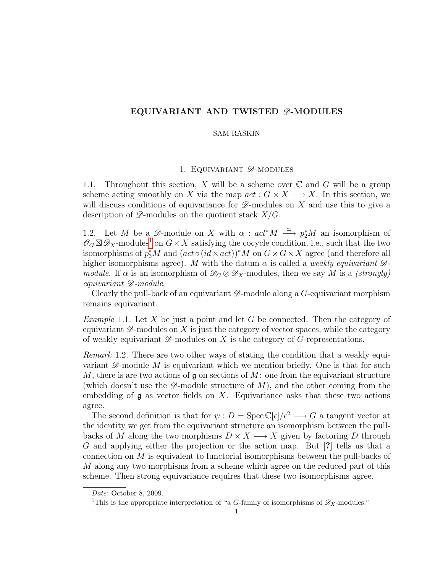# EQUIVARIANT AND TWISTED  $\mathscr{D}\text{-}\mathrm{MODULES}$

## SAM RASKIN

# 1. EQUIVARIANT  $\mathscr{D}$ -MODULES

1.1. Throughout this section, X will be a scheme over  $\mathbb C$  and G will be a group scheme acting smoothly on X via the map  $act: G \times X \longrightarrow X$ . In this section, we will discuss conditions of equivariance for  $\mathscr{D}$ -modules on X and use this to give a description of  $\mathscr{D}$ -modules on the quotient stack  $X/G$ .

1.2. Let M be a  $\mathscr{D}$ -module on X with  $\alpha : act^*M \stackrel{\simeq}{\longrightarrow} p_2^*M$  an isomorphism of  $\mathscr{O}_G \boxtimes \mathscr{D}_X$ -modules<sup>[1](#page-0-0)</sup> on  $G \times X$  satisfying the cocycle condition, i.e., such that the two isomorphisms of  $p_3^*M$  and  $(\text{act} \circ (\text{id} \times \text{act}))^*M$  on  $G \times G \times X$  agree (and therefore all higher isomorphisms agree). M with the datum  $\alpha$  is called a *weakly equivariant*  $\mathscr{D}$ module. If  $\alpha$  is an isomorphism of  $\mathscr{D}_G \otimes \mathscr{D}_X$ -modules, then we say M is a (strongly) equivariant D-module.

Clearly the pull-back of an equivariant  $\mathscr{D}$ -module along a G-equivariant morphism remains equivariant.

*Example* 1.1. Let X be just a point and let G be connected. Then the category of equivariant  $\mathscr{D}$ -modules on X is just the category of vector spaces, while the category of weakly equivariant  $\mathscr{D}$ -modules on X is the category of G-representations.

Remark 1.2. There are two other ways of stating the condition that a weakly equivariant  $\mathscr{D}$ -module M is equivariant which we mention briefly. One is that for such M, there is are two actions of  $\mathfrak g$  on sections of M: one from the equivariant structure (which doesn't use the  $\mathscr{D}$ -module structure of M), and the other coming from the embedding of  $\mathfrak g$  as vector fields on X. Equivariance asks that these two actions agree.

The second definition is that for  $\psi : D = \text{Spec } \mathbb{C}[\epsilon]/\epsilon^2 \longrightarrow G$  a tangent vector at the identity we get from the equivariant structure an isomorphism between the pullbacks of M along the two morphisms  $D \times X \longrightarrow X$  given by factoring D through G and applying either the projection or the action map. But [?] tells us that a connection on M is equivalent to functorial isomorphisms between the pull-backs of M along any two morphisms from a scheme which agree on the reduced part of this scheme. Then strong equivariance requires that these two isomorphisms agree.

Date: October 8, 2009.

<span id="page-0-0"></span><sup>&</sup>lt;sup>1</sup>This is the appropriate interpretation of "a G-family of isomorphisms of  $\mathscr{D}_X$ -modules."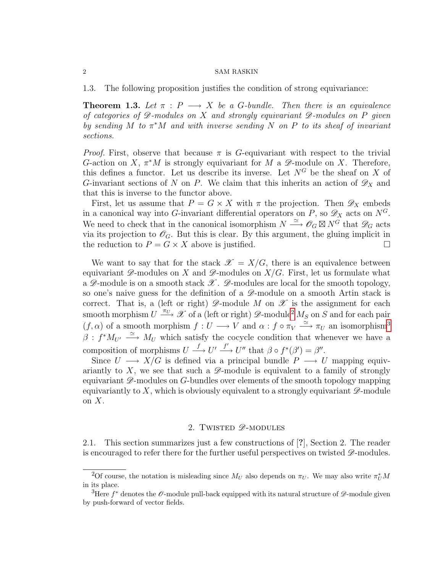#### 2 SAM RASKIN

1.3. The following proposition justifies the condition of strong equivariance:

**Theorem 1.3.** Let  $\pi$  : P  $\longrightarrow X$  be a G-bundle. Then there is an equivalence of categories of  $\mathscr D$ -modules on X and strongly equivariant  $\mathscr D$ -modules on P given by sending M to  $\pi^*M$  and with inverse sending N on P to its sheaf of invariant sections.

*Proof.* First, observe that because  $\pi$  is G-equivariant with respect to the trivial G-action on X,  $\pi^*M$  is strongly equivariant for M a  $\mathscr{D}$ -module on X. Therefore, this defines a functor. Let us describe its inverse. Let  $N^G$  be the sheaf on X of G-invariant sections of N on P. We claim that this inherits an action of  $\mathscr{D}_X$  and that this is inverse to the functor above.

First, let us assume that  $P = G \times X$  with  $\pi$  the projection. Then  $\mathscr{D}_X$  embeds in a canonical way into G-invariant differential operators on P, so  $\mathscr{D}_X$  acts on  $N^G$ . We need to check that in the canonical isomorphism  $N \stackrel{\simeq}{\longrightarrow} O_G \boxtimes N^G$  that  $\mathscr{D}_G$  acts via its projection to  $\mathscr{O}_G$ . But this is clear. By this argument, the gluing implicit in the reduction to  $P = G \times X$  above is justified.

We want to say that for the stack  $\mathscr{X} = X/G$ , there is an equivalence between equivariant  $\mathscr{D}$ -modules on X and  $\mathscr{D}$ -modules on  $X/G$ . First, let us formulate what a  $\mathscr{D}$ -module is on a smooth stack  $\mathscr{X}$ .  $\mathscr{D}$ -modules are local for the smooth topology, so one's naive guess for the definition of a  $\mathscr{D}$ -module on a smooth Artin stack is correct. That is, a (left or right)  $\mathscr{D}$ -module M on  $\mathscr{X}$  is the assignment for each smooth morphism  $U \stackrel{\pi_U}{\longrightarrow} \mathscr{X}$  of a (left or right)  $\mathscr{D}\text{-module}^2 M_S$  $\mathscr{D}\text{-module}^2 M_S$  $\mathscr{D}\text{-module}^2 M_S$  on S and for each pair  $(f, \alpha)$  of a smooth morphism  $f: U \longrightarrow V$  and  $\alpha: f \circ \pi_V \xrightarrow{\simeq} \pi_U$  an isomorphism<sup>[3](#page-1-1)</sup>  $\beta: f^*M_{U'} \stackrel{\simeq}{\longrightarrow} M_U$  which satisfy the cocycle condition that whenever we have a composition of morphisms  $U \stackrel{f}{\longrightarrow} U' \stackrel{f'}{\longrightarrow} U''$  that  $\beta \circ f^*(\beta') = \beta''$ .

Since  $U \longrightarrow X/G$  is defined via a principal bundle  $P \longrightarrow U$  mapping equivariantly to  $X$ , we see that such a  $\mathscr{D}$ -module is equivalent to a family of strongly equivariant  $\mathscr{D}$ -modules on G-bundles over elements of the smooth topology mapping equivariantly to  $X$ , which is obviously equivalent to a strongly equivariant  $\mathscr{D}$ -module on  $X$ .

## 2. TWISTED  $\mathscr{D}$ -MODULES

2.1. This section summarizes just a few constructions of [?], Section 2. The reader is encouraged to refer there for the further useful perspectives on twisted  $\mathscr{D}$ -modules.

<span id="page-1-0"></span><sup>&</sup>lt;sup>2</sup>Of course, the notation is misleading since  $M_U$  also depends on  $\pi_U$ . We may also write  $\pi_U^* M$ in its place.

<span id="page-1-1"></span><sup>&</sup>lt;sup>3</sup>Here  $f^*$  denotes the  $\mathscr O$ -module pull-back equipped with its natural structure of  $\mathscr D$ -module given by push-forward of vector fields.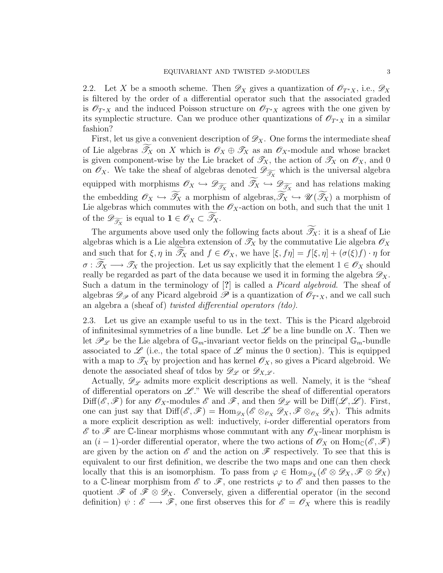2.2. Let X be a smooth scheme. Then  $\mathscr{D}_X$  gives a quantization of  $\mathscr{O}_{T^*X}$ , i.e.,  $\mathscr{D}_X$ is filtered by the order of a differential operator such that the associated graded is  $\mathscr{O}_{T^*X}$  and the induced Poisson structure on  $\mathscr{O}_{T^*X}$  agrees with the one given by its symplectic structure. Can we produce other quantizations of  $\mathscr{O}_{T^*X}$  in a similar fashion?

First, let us give a convenient description of  $\mathscr{D}_X$ . One forms the intermediate sheaf of Lie algebras  $\mathcal{T}_X$  on X which is  $\mathcal{O}_X \oplus \mathcal{T}_X$  as an  $\mathcal{O}_X$ -module and whose bracket is given component-wise by the Lie bracket of  $\mathscr{T}_X$ , the action of  $\mathscr{T}_X$  on  $\mathscr{O}_X$ , and 0 on  $\mathscr{O}_X$ . We take the sheaf of algebras denoted  $\mathscr{D}_{\widetilde{\mathscr{I}_X}}$  which is the universal algebra equipped with morphisms  $\mathscr{O}_X \hookrightarrow \mathscr{D}_{\widetilde{\mathscr{I}_X}}$  and  $\mathscr{I}_X \hookrightarrow \mathscr{D}_{\widetilde{\mathscr{I}_X}}$  and has relations making the embedding  $\mathscr{O}_X \hookrightarrow \widetilde{\mathscr{I}}_X$  a morphism of algebras,  $\widetilde{\mathscr{I}}_X \hookrightarrow \mathscr{U}(\widetilde{\mathscr{I}}_X)$  a morphism of Lie algebras which commutes with the  $\mathscr{O}_X$ -action on both, and such that the unit 1 of the  $\mathscr{D}_{\widetilde{\mathscr{I}_X}}$  is equal to  $\mathbf{1} \in \mathscr{O}_X \subset \mathscr{I}_X$ .

The arguments above used only the following facts about  $\widetilde{\mathscr{T}}_X$ : it is a sheaf of Lie algebras which is a Lie algebra extension of  $\mathcal{T}_X$  by the commutative Lie algebra  $\mathcal{O}_X$ and such that for  $\xi, \eta$  in  $\mathscr{T}_X$  and  $f \in \mathscr{O}_X$ , we have  $[\xi, f\eta] = f[\xi, \eta] + (\sigma(\xi)f) \cdot \eta$  for  $\sigma : \widetilde{\mathscr{T}}_X \longrightarrow \mathscr{T}_X$  the projection. Let us say explicitly that the element  $1 \in \mathscr{O}_X$  should really be regarded as part of the data because we used it in forming the algebra  $\mathscr{D}_X$ . Such a datum in the terminology of [?] is called a *Picard algebroid*. The sheaf of algebras  $\mathscr{D}_{\mathscr{P}}$  of any Picard algebroid  $\mathscr{P}$  is a quantization of  $\mathscr{O}_{T^*X}$ , and we call such an algebra a (sheaf of) twisted differential operators (tdo).

2.3. Let us give an example useful to us in the text. This is the Picard algebroid of infinitesimal symmetries of a line bundle. Let  $\mathscr L$  be a line bundle on X. Then we let  $\mathscr{P}_{\mathscr{L}}$  be the Lie algebra of  $\mathbb{G}_m$ -invariant vector fields on the principal  $\mathbb{G}_m$ -bundle associated to  $\mathscr L$  (i.e., the total space of  $\mathscr L$  minus the 0 section). This is equipped with a map to  $\mathscr{T}_X$  by projection and has kernel  $\mathscr{O}_X$ , so gives a Picard algebroid. We denote the associated sheaf of tdos by  $\mathscr{D}_{\mathscr{L}}$  or  $\mathscr{D}_{X,\mathscr{L}}$ .

Actually,  $\mathscr{D}_{\mathscr{L}}$  admits more explicit descriptions as well. Namely, it is the "sheaf of differential operators on  $\mathscr{L}$ ." We will describe the sheaf of differential operators  $\text{Diff}(\mathscr{E},\mathscr{F})$  for any  $\mathscr{O}_X$ -modules  $\mathscr{E}$  and  $\mathscr{F}$ , and then  $\mathscr{D}_{\mathscr{L}}$  will be  $\text{Diff}(\mathscr{L},\mathscr{L})$ . First, one can just say that  $\text{Diff}(\mathscr{E},\mathscr{F})=\text{Hom}_{\mathscr{D}_X}(\mathscr{E}\otimes_{\mathscr{O}_X}\mathscr{D}_X,\mathscr{F}\otimes_{\mathscr{O}_X}\mathscr{D}_X)$ . This admits a more explicit description as well: inductively, i-order differential operators from  $\mathscr E$  to  $\mathscr F$  are C-linear morphisms whose commutant with any  $\mathscr O_X$ -linear morphism is an  $(i-1)$ -order differential operator, where the two actions of  $\mathscr{O}_X$  on  $\text{Hom}_{\mathbb{C}}(\mathscr{E},\mathscr{F})$ are given by the action on  $\mathscr E$  and the action on  $\mathscr F$  respectively. To see that this is equivalent to our first definition, we describe the two maps and one can then check locally that this is an isomorphism. To pass from  $\varphi \in \text{Hom}_{\mathscr{D}_X}(\mathscr{E} \otimes \mathscr{D}_X, \mathscr{F} \otimes \mathscr{D}_X)$ to a C-linear morphism from  $\mathscr E$  to  $\mathscr F$ , one restricts  $\varphi$  to  $\mathscr E$  and then passes to the quotient  $\mathscr{F}$  of  $\mathscr{F} \otimes \mathscr{D}_X$ . Conversely, given a differential operator (in the second definition)  $\psi : \mathscr{E} \longrightarrow \mathscr{F}$ , one first observes this for  $\mathscr{E} = \mathscr{O}_X$  where this is readily